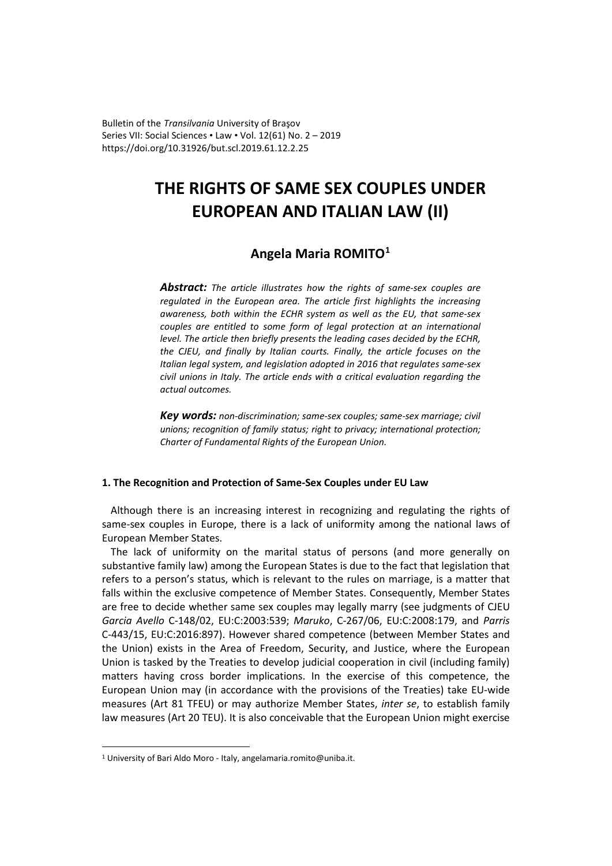Bulletin of the *Transilvania* University of Braşov Series VII: Social Sciences • Law • Vol. 12(61) No. 2 – 2019 https://doi.org/10.31926/but.scl.2019.61.12.2.25

# **THE RIGHTS OF SAME SEX COUPLES UNDER EUROPEAN AND ITALIAN LAW (II)**

# **Angela Maria ROMITO[1](#page-0-0)**

*Abstract: The article illustrates how the rights of same-sex couples are regulated in the European area. The article first highlights the increasing awareness, both within the ECHR system as well as the EU, that same-sex couples are entitled to some form of legal protection at an international level. The article then briefly presents the leading cases decided by the ECHR, the CJEU, and finally by Italian courts. Finally, the article focuses on the Italian legal system, and legislation adopted in 2016 that regulates same-sex civil unions in Italy. The article ends with a critical evaluation regarding the actual outcomes.*

*Key words: non-discrimination; same-sex couples; same-sex marriage; civil unions; recognition of family status; right to privacy; international protection; Charter of Fundamental Rights of the European Union.*

# **1. The Recognition and Protection of Same-Sex Couples under EU Law**

Although there is an increasing interest in recognizing and regulating the rights of same-sex couples in Europe, there is a lack of uniformity among the national laws of European Member States.

The lack of uniformity on the marital status of persons (and more generally on substantive family law) among the European States is due to the fact that legislation that refers to a person's status, which is relevant to the rules on marriage, is a matter that falls within the exclusive competence of Member States. Consequently, Member States are free to decide whether same sex couples may legally marry (see judgments of CJEU *Garcia Avello* C-148/02, EU:C:2003:539; *Maruko*, C-267/06, EU:C:2008:179, and *Parris* C-443/15, EU:C:2016:897). However shared competence (between Member States and the Union) exists in the Area of Freedom, Security, and Justice, where the European Union is tasked by the Treaties to develop judicial cooperation in civil (including family) matters having cross border implications. In the exercise of this competence, the European Union may (in accordance with the provisions of the Treaties) take EU-wide measures (Art 81 TFEU) or may authorize Member States, *inter se*, to establish family law measures (Art 20 TEU). It is also conceivable that the European Union might exercise

<span id="page-0-0"></span><sup>&</sup>lt;sup>1</sup> University of Bari Aldo Moro - Italy, angelamaria.romito@uniba.it.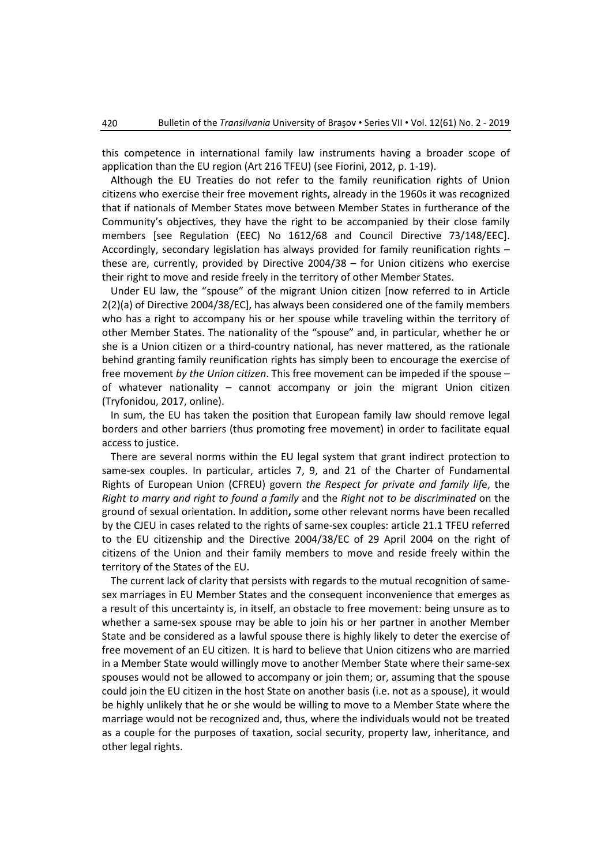this competence in international family law instruments having a broader scope of application than the EU region (Art 216 TFEU) (see Fiorini, 2012, p. 1-19).

Although the EU Treaties do not refer to the family reunification rights of Union citizens who exercise their free movement rights, already in the 1960s it was recognized that if nationals of Member States move between Member States in furtherance of the Community's objectives, they have the right to be accompanied by their close family members [see Regulation (EEC) No 1612/68 and Council Directive 73/148/EEC]. Accordingly, secondary legislation has always provided for family reunification rights – these are, currently, provided by Directive [2004/38](http://eur-lex.europa.eu/LexUriServ/LexUriServ.do?uri=OJ:L:2004:158:0077:0123:en:PDF) – for Union citizens who exercise their right to move and reside freely in the territory of other Member States.

Under EU law, the "spouse" of the migrant Union citizen [now referred to in Article 2(2)(a) of Directive 2004/38/EC], has always been considered one of the family members who has a right to accompany his or her spouse while traveling within the territory of other Member States. The nationality of the "spouse" and, in particular, whether he or she is a Union citizen or a third-country national, has never mattered, as the rationale behind granting family reunification rights has simply been to encourage the exercise of free movement *by the Union citizen*. This free movement can be impeded if the spouse – of whatever nationality – cannot accompany or join the migrant Union citizen [\(Tryfonidou,](https://www.reading.ac.uk/law/about/staff/a-tryfonidou.aspx) 2017, online).

In sum, the EU has taken the position that European family law should remove legal borders and other barriers (thus promoting free movement) in order to facilitate equal access to justice.

There are several norms within the EU legal system that grant indirect protection to same-sex couples. In particular, articles 7, 9, and 21 of the Charter of Fundamental Rights of European Union (CFREU) govern *the Respect for private and family lif*e, the *Right to marry and right to found a family* and the *Right not to be discriminated* on the ground of sexual orientation. In addition**,** some other relevant norms have been recalled by the CJEU in cases related to the rights of same-sex couples: article 21.1 TFEU referred to the EU citizenship and the Directive 2004/38/EC of 29 April 2004 on the right of citizens of the Union and their family members to move and reside freely within the territory of the States of the EU.

The current lack of clarity that persists with regards to the mutual recognition of samesex marriages in EU Member States and the consequent inconvenience that emerges as a result of this uncertainty is, in itself, an obstacle to free movement: being unsure as to whether a same-sex spouse may be able to join his or her partner in another Member State and be considered as a lawful spouse there is highly likely to deter the exercise of free movement of an EU citizen. It is hard to believe that Union citizens who are married in a Member State would willingly move to another Member State where their same-sex spouses would not be allowed to accompany or join them; or, assuming that the spouse could join the EU citizen in the host State on another basis (i.e. not as a spouse), it would be highly unlikely that he or she would be willing to move to a Member State where the marriage would not be recognized and, thus, where the individuals would not be treated as a couple for the purposes of taxation, social security, property law, inheritance, and other legal rights.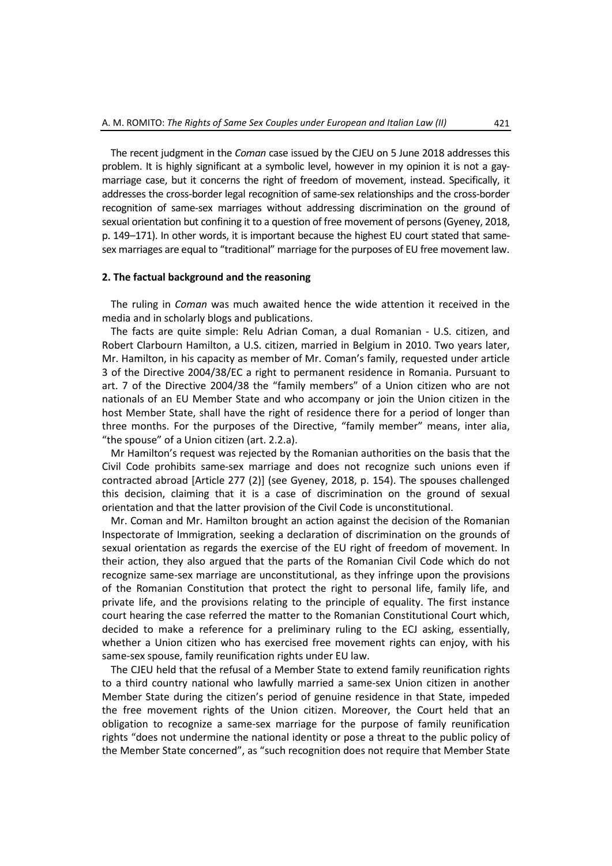The recent judgment in the *Coman* case issued by the CJEU on 5 June 2018 addresses this problem. It is highly significant at a symbolic level, however in my opinion it is not a gaymarriage case, but it concerns the right of freedom of movement, instead. Specifically, it addresses the cross-border legal recognition of same-sex relationships and the cross-border recognition of same-sex marriages without addressing discrimination on the ground of sexual orientation but confining it to a question of free movement of persons (Gyeney, 2018, p. 149–171). In other words, it is important because the highest EU court stated that samesex marriages are equal to "traditional" marriage for the purposes of EU free movement law.

# **2. The factual background and the reasoning**

The ruling in *Coman* was much awaited hence the wide attention it received in the media and in scholarly blogs and publications.

The facts are quite simple: Relu Adrian Coman, a dual Romanian - U.S. citizen, and Robert Clarbourn Hamilton, a U.S. citizen, married in Belgium in 2010. Two years later, Mr. Hamilton, in his capacity as member of Mr. Coman's family, requested under article 3 of the Directive 2004/38/EC a right to permanent residence in Romania. Pursuant to art. 7 of the Directive 2004/38 the "family members" of a Union citizen who are not nationals of an EU Member State and who accompany or join the Union citizen in the host Member State, shall have the right of residence there for a period of longer than three months. For the purposes of the Directive, "family member" means, inter alia, "the spouse" of a Union citizen (art. 2.2.a).

Mr Hamilton's request was rejected by the Romanian authorities on the basis that the Civil Code prohibits same-sex marriage and does not recognize such unions even if contracted abroad [Article 277 (2)] (see Gyeney, 2018, p. 154). The spouses challenged this decision, claiming that it is a case of discrimination on the ground of sexual orientation and that the latter provision of the Civil Code is unconstitutional.

Mr. Coman and Mr. Hamilton brought an action against the decision of the Romanian Inspectorate of Immigration, seeking a declaration of discrimination on the grounds of sexual orientation as regards the exercise of the EU right of freedom of movement. In their action, they also argued that the parts of the Romanian Civil Code which do not recognize same-sex marriage are unconstitutional, as they infringe upon the provisions of the Romanian Constitution that protect the right to personal life, family life, and private life, and the provisions relating to the principle of equality. The first instance court hearing the case referred the matter to the Romanian Constitutional Court which, decided to make a reference for a preliminary ruling to the ECJ asking, essentially, whether a Union citizen who has exercised free movement rights can enjoy, with his same-sex spouse, family reunification rights under EU law.

The CJEU held that the refusal of a Member State to extend family reunification rights to a third country national who lawfully married a same-sex Union citizen in another Member State during the citizen's period of genuine residence in that State, impeded the free movement rights of the Union citizen. Moreover, the Court held that an obligation to recognize a same-sex marriage for the purpose of family reunification rights "does not undermine the national identity or pose a threat to the public policy of the Member State concerned", as "such recognition does not require that Member State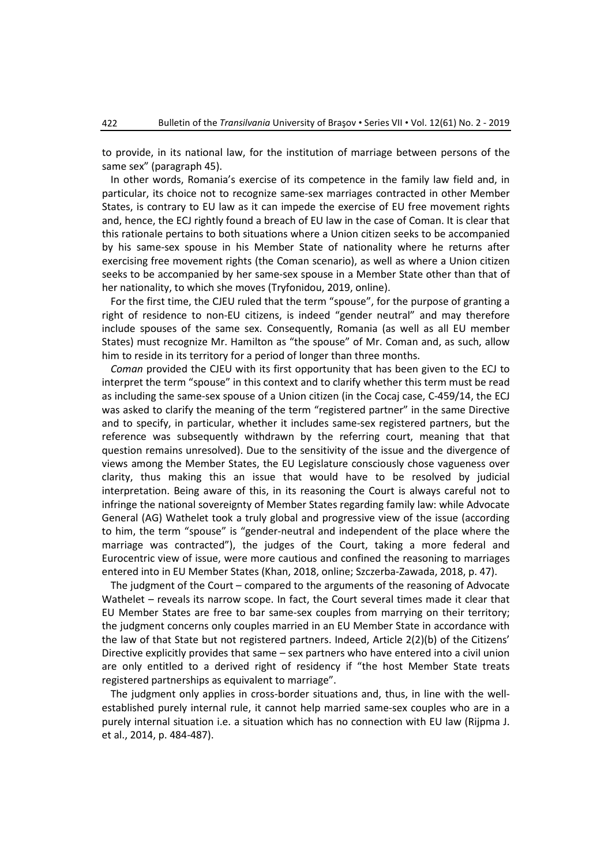to provide, in its national law, for the institution of marriage between persons of the same sex" (paragraph 45).

In other words, Romania's exercise of its competence in the family law field and, in particular, its choice not to recognize same-sex marriages contracted in other Member States, is contrary to EU law as it can impede the exercise of EU free movement rights and, hence, the ECJ rightly found a breach of EU law in the case of Coman. It is clear that this rationale pertains to both situations where a Union citizen seeks to be accompanied by his same-sex spouse in his Member State of nationality where he returns after exercising free movement rights (the Coman scenario), as well as where a Union citizen seeks to be accompanied by her same-sex spouse in a Member State other than that of her nationality, to which she moves (Tryfonidou, 2019, online).

For the first time, the CJEU ruled that the term "spouse", for the purpose of granting a right of residence to non-EU citizens, is indeed "gender neutral" and may therefore include spouses of the same sex. Consequently, Romania (as well as all EU member States) must recognize Mr. Hamilton as "the spouse" of Mr. Coman and, as such, allow him to reside in its territory for a period of longer than three months.

*Coman* provided the CJEU with its first opportunity that has been given to the ECJ to interpret the term "spouse" in this context and to clarify whether this term must be read as including the same-sex spouse of a Union citizen (in the Cocaj case, C-459/14, the ECJ was asked to clarify the meaning of the term "registered partner" in the same Directive and to specify, in particular, whether it includes same-sex registered partners, but the reference was subsequently withdrawn by the referring court, meaning that that question remains unresolved). Due to the sensitivity of the issue and the divergence of views among the Member States, the EU Legislature consciously chose vagueness over clarity, thus making this an issue that would have to be resolved by judicial interpretation. Being aware of this, in its reasoning the Court is always careful not to infringe the national sovereignty of Member States regarding family law: while Advocate General (AG) Wathelet took a truly global and progressive view of the issue (according to him, the term "spouse" is "gender-neutral and independent of the place where the marriage was contracted"), the judges of the Court, taking a more federal and Eurocentric view of issue, were more cautious and confined the reasoning to marriages entered into in EU Member States (Khan, 2018, online; Szczerba-Zawada, 2018, p. 47).

The judgment of the Court – compared to the arguments of the reasoning of Advocate Wathelet – reveals its narrow scope. In fact, the Court several times made it clear that EU Member States are free to bar same-sex couples from marrying on their territory; the judgment concerns only couples married in an EU Member State in accordance with the law of that State but not registered partners. Indeed, Article 2(2)(b) of the Citizens' Directive explicitly provides that same – sex partners who have entered into a civil union are only entitled to a derived right of residency if "the host Member State treats registered partnerships as equivalent to marriage".

The judgment only applies in cross-border situations and, thus, in line with the wellestablished purely internal rule, it cannot help married same-sex couples who are in a purely internal situation i.e. a situation which has no connection with EU law (Rijpma J. et al., 2014, p. 484-487).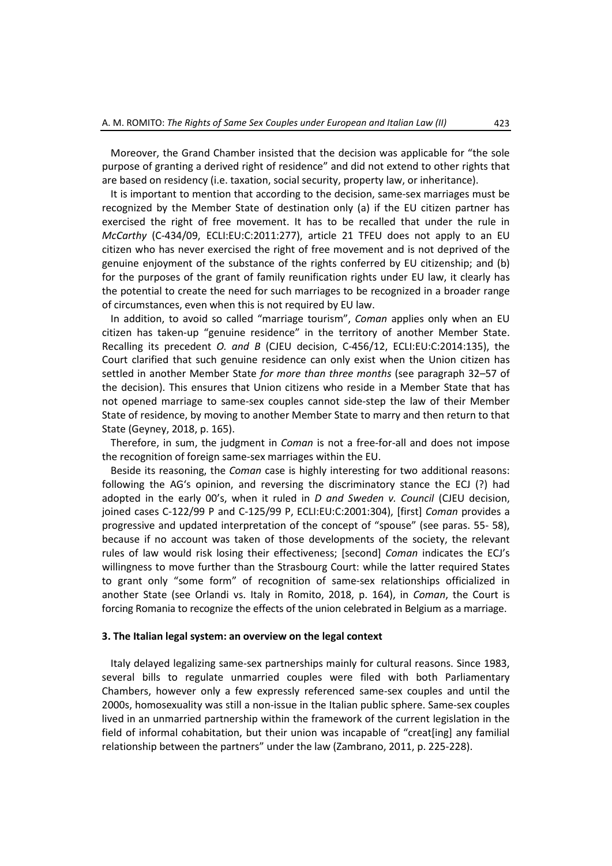Moreover, the Grand Chamber insisted that the decision was applicable for "the sole purpose of granting a derived right of residence" and did not extend to other rights that are based on residency (i.e. taxation, social security, property law, or inheritance).

It is important to mention that according to the decision, same-sex marriages must be recognized by the Member State of destination only (a) if the EU citizen partner has exercised the right of free movement. It has to be recalled that under the rule in *McCarthy* (C-434/09, ECLI:EU:C:2011:277), article 21 TFEU does not apply to an EU citizen who has never exercised the right of free movement and is not deprived of the genuine enjoyment of the substance of the rights conferred by EU citizenship; and (b) for the purposes of the grant of family reunification rights under EU law, it clearly has the potential to create the need for such marriages to be recognized in a broader range of circumstances, even when this is not required by EU law.

In addition, to avoid so called "marriage tourism", *Coman* applies only when an EU citizen has taken-up "genuine residence" in the territory of another Member State. Recalling its precedent *O. and B* (CJEU decision, C-456/12, ECLI:EU:C:2014:135), the Court clarified that such genuine residence can only exist when the Union citizen has settled in another Member State *for more than three months* (see paragraph 32–57 of the decision). This ensures that Union citizens who reside in a Member State that has not opened marriage to same-sex couples cannot side-step the law of their Member State of residence, by moving to another Member State to marry and then return to that State (Geyney, 2018, p. 165).

Therefore, in sum, the judgment in *Coman* is not a free-for-all and does not impose the recognition of foreign same-sex marriages within the EU.

Beside its reasoning, the *Coman* case is highly interesting for two additional reasons: following the AG's opinion, and reversing the discriminatory stance the ECJ (?) had adopted in the early 00's, when it ruled in *D and Sweden v. Council* (CJEU decision, joined cases C-122/99 P and C-125/99 P, ECLI:EU:C:2001:304), [first] *Coman* provides a progressive and updated interpretation of the concept of "spouse" (see paras. 55- 58), because if no account was taken of those developments of the society, the relevant rules of law would risk losing their effectiveness; [second] *Coman* indicates the ECJ's willingness to move further than the Strasbourg Court: while the latter required States to grant only "some form" of recognition of same-sex relationships officialized in another State (see Orlandi vs. Italy in Romito, 2018, p. 164), in *Coman*, the Court is forcing Romania to recognize the effects of the union celebrated in Belgium as a marriage.

#### **3. The Italian legal system: an overview on the legal context**

Italy delayed legalizing same-sex partnerships mainly for cultural reasons. Since 1983, several bills to regulate unmarried couples were filed with both Parliamentary Chambers, however only a few expressly referenced same-sex couples and until the 2000s, homosexuality was still a non-issue in the Italian public sphere. Same-sex couples lived in an unmarried partnership within the framework of the current legislation in the field of informal cohabitation, but their union was incapable of "creat[ing] any familial relationship between the partners" under the law (Zambrano, 2011, p. 225-228).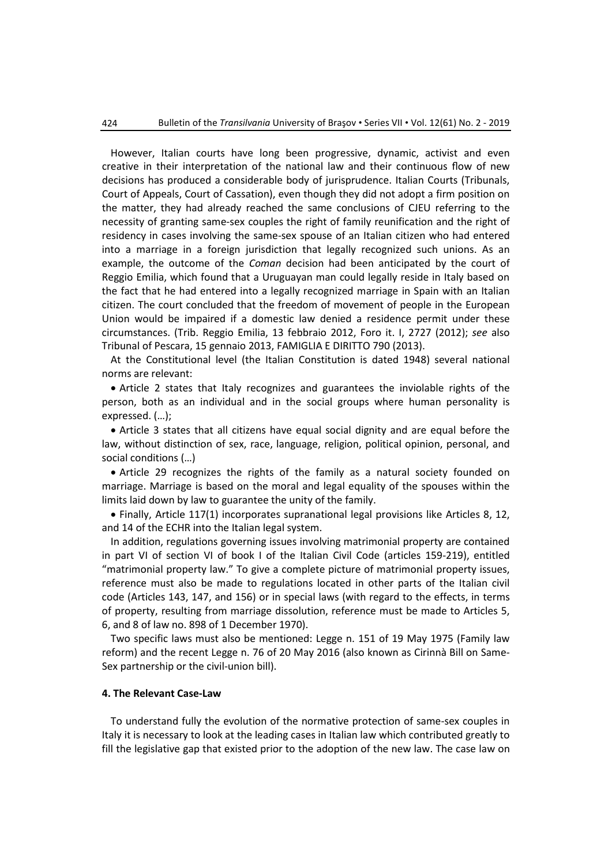However, Italian courts have long been progressive, dynamic, activist and even creative in their interpretation of the national law and their continuous flow of new decisions has produced a considerable body of jurisprudence. Italian Courts (Tribunals, Court of Appeals, Court of Cassation), even though they did not adopt a firm position on the matter, they had already reached the same conclusions of CJEU referring to the necessity of granting same-sex couples the right of family reunification and the right of residency in cases involving the same-sex spouse of an Italian citizen who had entered into a marriage in a foreign jurisdiction that legally recognized such unions. As an example, the outcome of the *Coman* decision had been anticipated by the court of Reggio Emilia, which found that a Uruguayan man could legally reside in Italy based on the fact that he had entered into a legally recognized marriage in Spain with an Italian citizen. The court concluded that the freedom of movement of people in the European Union would be impaired if a domestic law denied a residence permit under these circumstances. (Trib. Reggio Emilia, 13 febbraio 2012, Foro it. I, 2727 (2012); *see* also Tribunal of Pescara, 15 gennaio 2013, FAMIGLIA E DIRITTO 790 (2013).

At the Constitutional level (the Italian Constitution is dated 1948) several national norms are relevant:

• Article 2 states that Italy recognizes and guarantees the inviolable rights of the person, both as an individual and in the social groups where human personality is expressed. (…);

• Article 3 states that all citizens have equal social dignity and are equal before the law, without distinction of sex, race, language, religion, political opinion, personal, and social conditions (…)

• Article 29 recognizes the rights of the family as a natural society founded on marriage. Marriage is based on the moral and legal equality of the spouses within the limits laid down by law to guarantee the unity of the family.

• Finally, Article 117(1) incorporates supranational legal provisions like Articles 8, 12, and 14 of the ECHR into the Italian legal system.

In addition, regulations governing issues involving matrimonial property are contained in part VI of section VI of book I of the Italian Civil Code (articles 159-219), entitled "matrimonial property law." To give a complete picture of matrimonial property issues, reference must also be made to regulations located in other parts of the Italian civil code (Articles 143, 147, and 156) or in special laws (with regard to the effects, in terms of property, resulting from marriage dissolution, reference must be made to Articles 5, 6, and 8 of law no. 898 of 1 December 1970).

Two specific laws must also be mentioned: Legge n. 151 of 19 May 1975 (Family law reform) and the recent Legge n. 76 of 20 May 2016 (also known as Cirinnà Bill on Same-Sex partnership or the civil-union bill).

# **4. The Relevant Case-Law**

To understand fully the evolution of the normative protection of same-sex couples in Italy it is necessary to look at the leading cases in Italian law which contributed greatly to fill the legislative gap that existed prior to the adoption of the new law. The case law on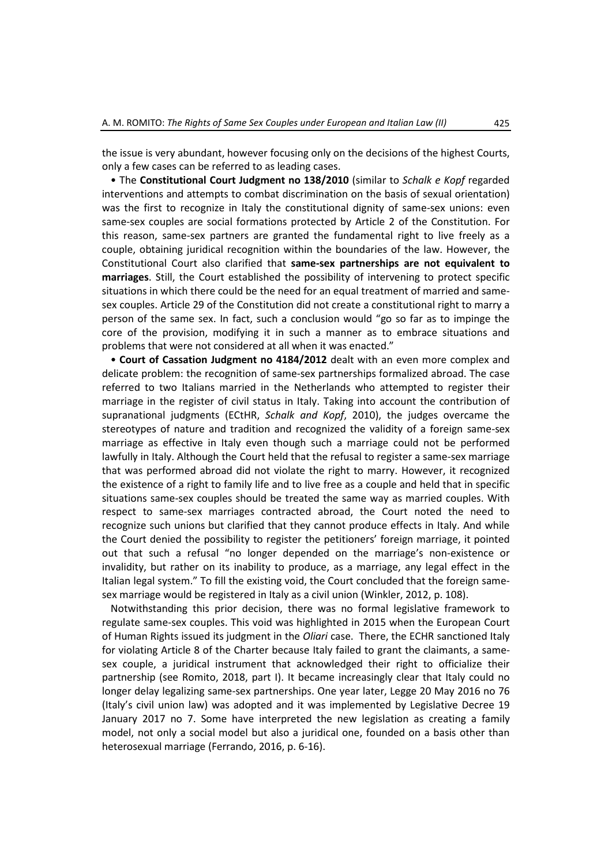the issue is very abundant, however focusing only on the decisions of the highest Courts, only a few cases can be referred to as leading cases.

 The **Constitutional Court Judgment no 138/2010** (similar to *Schalk e Kopf* regarded interventions and attempts to combat discrimination on the basis of sexual orientation) was the first to recognize in Italy the constitutional dignity of same-sex unions: even same-sex couples are social formations protected by Article 2 of the Constitution. For this reason, same-sex partners are granted the fundamental right to live freely as a couple, obtaining juridical recognition within the boundaries of the law. However, the Constitutional Court also clarified that **same-sex partnerships are not equivalent to marriages**. Still, the Court established the possibility of intervening to protect specific situations in which there could be the need for an equal treatment of married and samesex couples. Article 29 of the Constitution did not create a constitutional right to marry a person of the same sex. In fact, such a conclusion would "go so far as to impinge the core of the provision, modifying it in such a manner as to embrace situations and problems that were not considered at all when it was enacted."

 **Court of Cassation Judgment no 4184/2012** dealt with an even more complex and delicate problem: the recognition of same-sex partnerships formalized abroad. The case referred to two Italians married in the Netherlands who attempted to register their marriage in the register of civil status in Italy. Taking into account the contribution of supranational judgments (ECtHR, *Schalk and Kopf*, 2010), the judges overcame the stereotypes of nature and tradition and recognized the validity of a foreign same-sex marriage as effective in Italy even though such a marriage could not be performed lawfully in Italy. Although the Court held that the refusal to register a same-sex marriage that was performed abroad did not violate the right to marry. However, it recognized the existence of a right to family life and to live free as a couple and held that in specific situations same-sex couples should be treated the same way as married couples. With respect to same-sex marriages contracted abroad, the Court noted the need to recognize such unions but clarified that they cannot produce effects in Italy. And while the Court denied the possibility to register the petitioners' foreign marriage, it pointed out that such a refusal "no longer depended on the marriage's non-existence or invalidity, but rather on its inability to produce, as a marriage, any legal effect in the Italian legal system." To fill the existing void, the Court concluded that the foreign samesex marriage would be registered in Italy as a civil union (Winkler, 2012, p. 108).

Notwithstanding this prior decision, there was no formal legislative framework to regulate same-sex couples. This void was highlighted in 2015 when the European Court of Human Rights issued its judgment in the *Oliari* case. There, the ECHR sanctioned Italy for violating Article 8 of the Charter because Italy failed to grant the claimants, a samesex couple, a juridical instrument that acknowledged their right to officialize their partnership (see Romito, 2018, part I). It became increasingly clear that Italy could no longer delay legalizing same-sex partnerships. One year later, Legge 20 May 2016 no 76 (Italy's civil union law) was adopted and it was implemented by Legislative Decree 19 January 2017 no 7. Some have interpreted the new legislation as creating a family model, not only a social model but also a juridical one, founded on a basis other than heterosexual marriage (Ferrando, 2016, p. 6-16).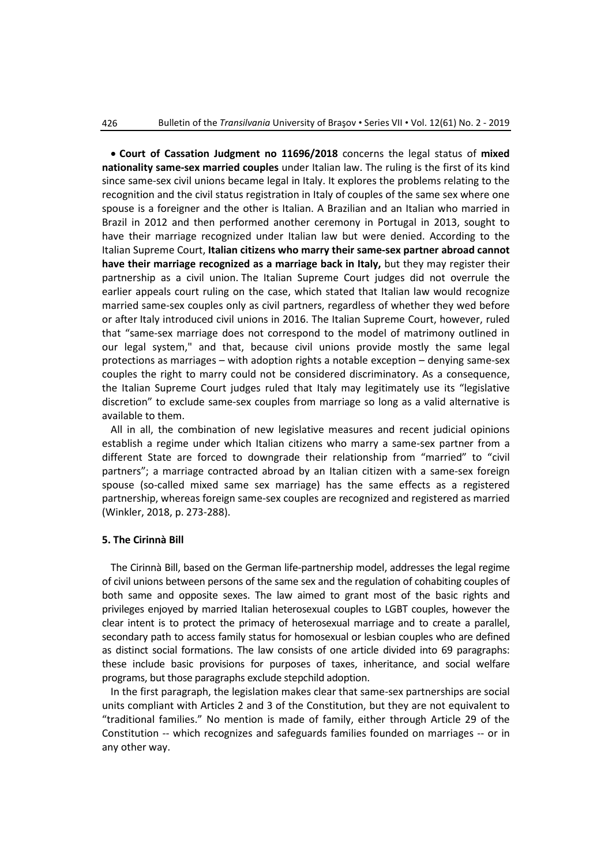• **Court of Cassation Judgment no 11696/2018** concerns the legal status of **mixed nationality same-sex married couples** under Italian law. The ruling is the first of its kind since same-sex civil unions became legal in Italy. It explores the problems relating to the recognition and the civil status registration in Italy of couples of the same sex where one spouse is a foreigner and the other is Italian. A Brazilian and an Italian who married in Brazil in 2012 and then performed another ceremony in Portugal in 2013, sought to have their marriage recognized under Italian law but were denied. According to the Italian Supreme Court, **Italian citizens who marry their same-sex partner abroad cannot have their marriage recognized as a marriage back in Italy,** but they may register their partnership as a civil union. The Italian Supreme Court judges did not overrule the earlier appeals court ruling on the case, which stated that Italian law would recognize married same-sex couples only as civil partners, regardless of whether they wed before or after Italy introduced civil unions in 2016. The Italian Supreme Court, however, ruled that "same-sex marriage does not correspond to the model of matrimony outlined in our legal system," and that, because civil unions provide mostly the same legal protections as marriages – with adoption rights a notable exception – denying same-sex couples the right to marry could not be considered discriminatory. As a consequence, the Italian Supreme Court judges ruled that Italy may legitimately use its "legislative discretion" to exclude same-sex couples from marriage so long as a valid alternative is available to them.

All in all, the combination of new legislative measures and recent judicial opinions establish a regime under which Italian citizens who marry a same-sex partner from a different State are forced to downgrade their relationship from "married" to "civil partners"; a marriage contracted abroad by an Italian citizen with a same-sex foreign spouse (so-called mixed same sex marriage) has the same effects as a registered partnership, whereas foreign same-sex couples are recognized and registered as married (Winkler, 2018, p. 273-288).

# **5. The Cirinnà Bill**

The Cirinnà Bill, based on the German life-partnership model, addresses the legal regime of civil unions between persons of the same sex and the regulation of cohabiting couples of both same and opposite sexes. The law aimed to grant most of the basic rights and privileges enjoyed by married Italian heterosexual couples to LGBT couples, however the clear intent is to protect the primacy of heterosexual marriage and to create a parallel, secondary path to access family status for homosexual or lesbian couples who are defined as distinct social formations. The law consists of one article divided into 69 paragraphs: these include basic provisions for purposes of taxes, inheritance, and social welfare programs, but those paragraphs exclude stepchild adoption.

In the first paragraph, the legislation makes clear that same-sex partnerships are social units compliant with Articles 2 and 3 of the Constitution, but they are not equivalent to "traditional families." No mention is made of family, either through Article 29 of the Constitution -- which recognizes and safeguards families founded on marriages -- or in any other way.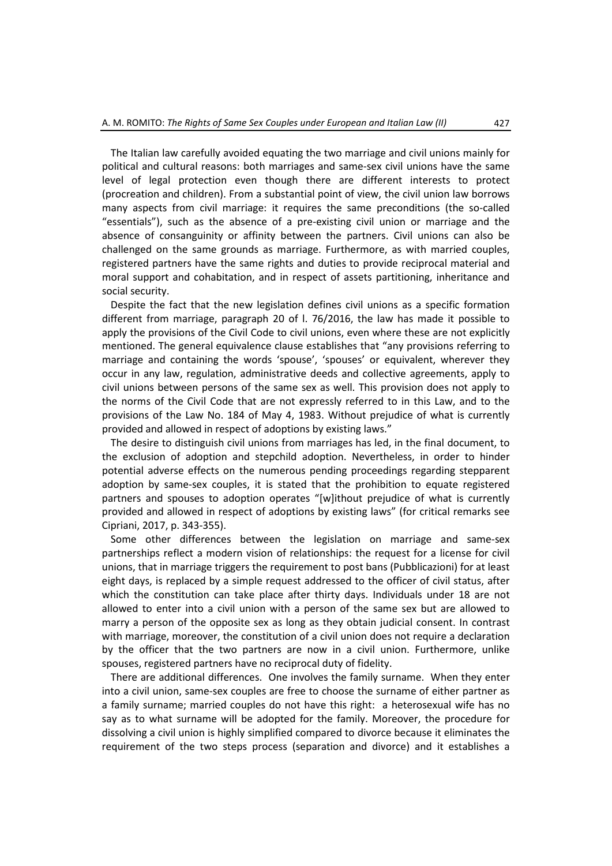The Italian law carefully avoided equating the two marriage and civil unions mainly for political and cultural reasons: both marriages and same-sex civil unions have the same level of legal protection even though there are different interests to protect (procreation and children). From a substantial point of view, the civil union law borrows many aspects from civil marriage: it requires the same preconditions (the so-called "essentials"), such as the absence of a pre-existing civil union or marriage and the absence of consanguinity or affinity between the partners. Civil unions can also be challenged on the same grounds as marriage. Furthermore, as with married couples, registered partners have the same rights and duties to provide reciprocal material and moral support and cohabitation, and in respect of assets partitioning, inheritance and social security.

Despite the fact that the new legislation defines civil unions as a specific formation different from marriage, paragraph 20 of l. 76/2016, the law has made it possible to apply the provisions of the Civil Code to civil unions, even where these are not explicitly mentioned. The general equivalence clause establishes that "any provisions referring to marriage and containing the words 'spouse', 'spouses' or equivalent, wherever they occur in any law, regulation, administrative deeds and collective agreements, apply to civil unions between persons of the same sex as well. This provision does not apply to the norms of the Civil Code that are not expressly referred to in this Law, and to the provisions of the Law No. 184 of May 4, 1983. Without prejudice of what is currently provided and allowed in respect of adoptions by existing laws."

The desire to distinguish civil unions from marriages has led, in the final document, to the exclusion of adoption and stepchild adoption. Nevertheless, in order to hinder potential adverse effects on the numerous pending proceedings regarding stepparent adoption by same-sex couples, it is stated that the prohibition to equate registered partners and spouses to adoption operates "[w]ithout prejudice of what is currently provided and allowed in respect of adoptions by existing laws" (for critical remarks see Cipriani, 2017, p. 343-355).

Some other differences between the legislation on marriage and same-sex partnerships reflect a modern vision of relationships: the request for a license for civil unions, that in marriage triggers the requirement to post bans (Pubblicazioni) for at least eight days, is replaced by a simple request addressed to the officer of civil status, after which the constitution can take place after thirty days. Individuals under 18 are not allowed to enter into a civil union with a person of the same sex but are allowed to marry a person of the opposite sex as long as they obtain judicial consent. In contrast with marriage, moreover, the constitution of a civil union does not require a declaration by the officer that the two partners are now in a civil union. Furthermore, unlike spouses, registered partners have no reciprocal duty of fidelity.

There are additional differences. One involves the family surname. When they enter into a civil union, same-sex couples are free to choose the surname of either partner as a family surname; married couples do not have this right: a heterosexual wife has no say as to what surname will be adopted for the family. Moreover, the procedure for dissolving a civil union is highly simplified compared to divorce because it eliminates the requirement of the two steps process (separation and divorce) and it establishes a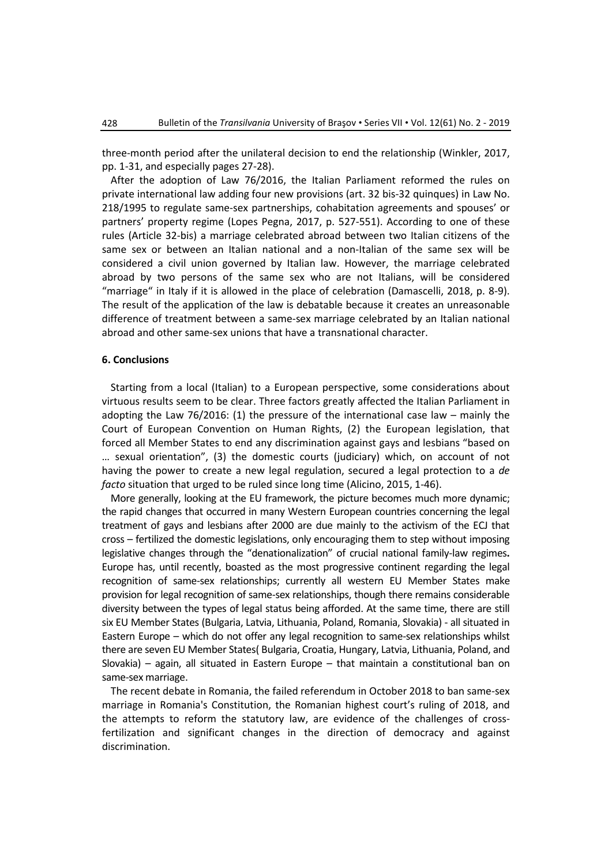three-month period after the unilateral decision to end the relationship (Winkler, 2017, pp. 1-31, and especially pages 27-28).

After the adoption of Law 76/2016, the Italian Parliament reformed the rules on private international law adding four new provisions (art. 32 bis-32 quinques) in Law No. 218/1995 to regulate same-sex partnerships, cohabitation agreements and spouses' or partners' property regime (Lopes Pegna, 2017, p. 527-551). According to one of these rules (Article 32-bis) a marriage celebrated abroad between two Italian citizens of the same sex or between an Italian national and a non-Italian of the same sex will be considered a civil union governed by Italian law. However, the marriage celebrated abroad by two persons of the same sex who are not Italians, will be considered "marriage" in Italy if it is allowed in the place of celebration (Damascelli, 2018, p. 8-9). The result of the application of the law is debatable because it creates an unreasonable difference of treatment between a same-sex marriage celebrated by an Italian national abroad and other same-sex unions that have a transnational character.

#### **6. Conclusions**

Starting from a local (Italian) to a European perspective, some considerations about virtuous results seem to be clear. Three factors greatly affected the Italian Parliament in adopting the Law 76/2016: (1) the pressure of the international case law – mainly the Court of European Convention on Human Rights, (2) the European legislation, that forced all Member States to end any discrimination against gays and lesbians "based on … sexual orientation", (3) the domestic courts (judiciary) which, on account of not having the power to create a new legal regulation, secured a legal protection to a *de facto* situation that urged to be ruled since long time (Alicino, 2015, 1-46).

More generally, looking at the EU framework, the picture becomes much more dynamic; the rapid changes that occurred in many Western European countries concerning the legal treatment of gays and lesbians after 2000 are due mainly to the activism of the ECJ that cross – fertilized the domestic legislations, only encouraging them to step without imposing legislative changes through the "denationalization" of crucial national family-law regimes**.** Europe has, until recently, boasted as the most progressive continent regarding the legal recognition of same-sex relationships; currently all western EU Member States make provision for legal recognition of same-sex relationships, though there remains considerable diversity between the types of legal status being afforded. At the same time, there are still six EU Member States (Bulgaria, Latvia, Lithuania, Poland, Romania, Slovakia) - all situated in Eastern Europe – which do not offer any legal recognition to same-sex relationships whilst there are seven EU Member States( Bulgaria, Croatia, Hungary, Latvia, Lithuania, Poland, and Slovakia) – again, all situated in Eastern Europe – that maintain a constitutional ban on same-sex marriage.

The recent debate in Romania, the failed referendum in October 2018 to ban same-sex marriage in Romania's Constitution, the Romanian highest court's ruling of 2018, and the attempts to reform the statutory law, are evidence of the challenges of crossfertilization and significant changes in the direction of democracy and against discrimination.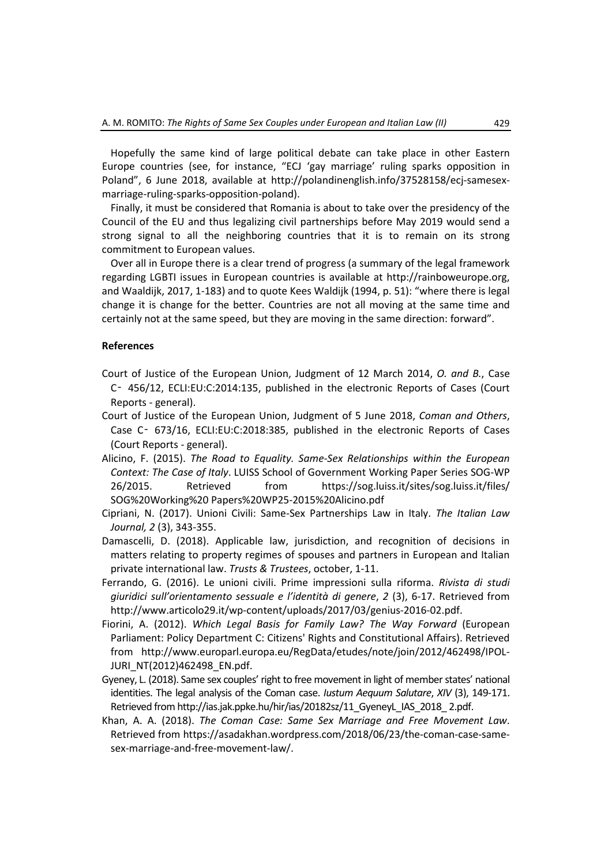Hopefully the same kind of large political debate can take place in other Eastern Europe countries (see, for instance, "ECJ 'gay marriage' ruling sparks opposition in Poland", 6 June 2018, available at http://polandinenglish.info/37528158/ecj-samesexmarriage-ruling-sparks-opposition-poland).

Finally, it must be considered that Romania is about to take over the presidency of the Council of the EU and thus legalizing civil partnerships before May 2019 would send a strong signal to all the neighboring countries that it is to remain on its strong commitment to European values.

Over all in Europe there is a clear trend of progress (a summary of the legal framework regarding LGBTI issues in European countries is available at [http://rainboweurope.org,](http://rainboweurope.org/) and Waaldijk, 2017, 1-183) and to quote Kees Waldijk (1994, p. 51): "where there is legal change it is change for the better. Countries are not all moving at the same time and certainly not at the same speed, but they are moving in the same direction: forward".

# **References**

- Court of Justice of the European Union, Judgment of 12 March 2014, *O. and B.*, Case C‑ 456/12, ECLI:EU:C:2014:135, published in the electronic Reports of Cases (Court Reports - general).
- Court of Justice of the European Union, Judgment of 5 June 2018, *Coman and Others*, Case C‑ 673/16, ECLI:EU:C:2018:385, published in the electronic Reports of Cases (Court Reports - general).
- Alicino, F. (2015). *The Road to Equality. Same-Sex Relationships within the European Context: The Case of Italy*. LUISS School of Government Working Paper Series SOG-WP 26/2015. Retrieved from https://sog.luiss.it/sites/sog.luiss.it/files/ SOG%20Working%20 Papers%20WP25-2015%20Alicino.pdf
- Cipriani, N. (2017). Unioni Civili: Same-Sex Partnerships Law in Italy. *The Italian Law Journal, 2* (3), 343-355.
- Damascelli, D. (2018). Applicable law, jurisdiction, and recognition of decisions in matters relating to property regimes of spouses and partners in European and Italian private international law. *Trusts & Trustees*, october, 1-11.
- Ferrando, G. (2016). Le unioni civili. Prime impressioni sulla riforma. *Rivista di studi giuridici sull'orientamento sessuale e l'identità di genere*, *2* (3), 6-17. Retrieved from http://www.articolo29.it/wp-content/uploads/2017/03/genius-2016-02.pdf.
- Fiorini, A. (2012). *Which Legal Basis for Family Law? The Way Forward* (European Parliament: Policy Department C: Citizens' Rights and Constitutional Affairs). Retrieved from http://www.europarl.europa.eu/RegData/etudes/note/join/2012/462498/IPOL-JURI\_NT(2012)462498\_EN.pdf.
- Gyeney, L. (2018). Same sex couples' right to free movement in light of member states' national identities. The legal analysis of the Coman case. *Iustum Aequum Salutare*, *XIV* (3), 149-171. Retrieved from http://ias.jak.ppke.hu/hir/ias/20182sz/11\_GyeneyL\_IAS\_2018\_ 2.pdf.
- Khan, A. A. (2018). *The Coman Case: Same Sex Marriage and Free Movement Law*. Retrieved from https://asadakhan.wordpress.com/2018/06/23/the-coman-case-samesex-marriage-and-free-movement-law/.